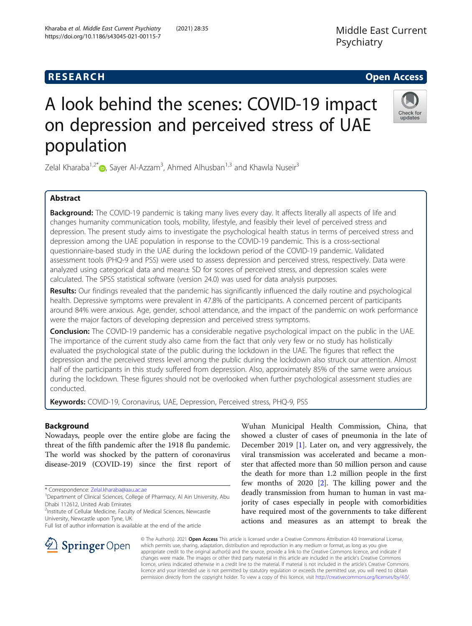# **RESEARCH CHE Open Access**

Kharaba et al. Middle East Current Psychiatry (2021) 28:35

https://doi.org/10.1186/s43045-021-00115-7

# A look behind the scenes: COVID-19 impact on depression and perceived stress of UAE population

Zelal Kharaba<sup>1[,](http://orcid.org/0000-0001-8012-684X)2\*</sup>iD, Sayer Al-Azzam<sup>3</sup>, Ahmed Alhusban<sup>1,3</sup> and Khawla Nuseir<sup>3</sup>

# Abstract

**Background:** The COVID-19 pandemic is taking many lives every day. It affects literally all aspects of life and changes humanity communication tools, mobility, lifestyle, and feasibly their level of perceived stress and depression. The present study aims to investigate the psychological health status in terms of perceived stress and depression among the UAE population in response to the COVID-19 pandemic. This is a cross-sectional questionnaire-based study in the UAE during the lockdown period of the COVID-19 pandemic. Validated assessment tools (PHQ-9 and PSS) were used to assess depression and perceived stress, respectively. Data were analyzed using categorical data and mean± SD for scores of perceived stress, and depression scales were calculated. The SPSS statistical software (version 24.0) was used for data analysis purposes.

Results: Our findings revealed that the pandemic has significantly influenced the daily routine and psychological health. Depressive symptoms were prevalent in 47.8% of the participants. A concerned percent of participants around 84% were anxious. Age, gender, school attendance, and the impact of the pandemic on work performance were the major factors of developing depression and perceived stress symptoms.

**Conclusion:** The COVID-19 pandemic has a considerable negative psychological impact on the public in the UAE. The importance of the current study also came from the fact that only very few or no study has holistically evaluated the psychological state of the public during the lockdown in the UAE. The figures that reflect the depression and the perceived stress level among the public during the lockdown also struck our attention. Almost half of the participants in this study suffered from depression. Also, approximately 85% of the same were anxious during the lockdown. These figures should not be overlooked when further psychological assessment studies are conducted.

Keywords: COVID-19, Coronavirus, UAE, Depression, Perceived stress, PHQ-9, PSS

# Background

Nowadays, people over the entire globe are facing the threat of the fifth pandemic after the 1918 flu pandemic. The world was shocked by the pattern of coronavirus disease-2019 (COVID-19) since the first report of

\* Correspondence: [Zelal.kharaba@aau.ac.ae](mailto:Zelal.kharaba@aau.ac.ae) <sup>1</sup>

<sup>1</sup>Department of Clinical Sciences, College of Pharmacy, Al Ain University, Abu Dhabi 112612, United Arab Emirates

<sup>2</sup>Institute of Cellular Medicine, Faculty of Medical Sciences, Newcastle University, Newcastle upon Tyne, UK

Full list of author information is available at the end of the article

Wuhan Municipal Health Commission, China, that showed a cluster of cases of pneumonia in the late of December 2019 [[1\]](#page-7-0). Later on, and very aggressively, the viral transmission was accelerated and became a monster that affected more than 50 million person and cause the death for more than 1.2 million people in the first few months of 2020 [\[2](#page-7-0)]. The killing power and the deadly transmission from human to human in vast majority of cases especially in people with comorbidities have required most of the governments to take different actions and measures as an attempt to break the

© The Author(s). 2021 Open Access This article is licensed under a Creative Commons Attribution 4.0 International License, which permits use, sharing, adaptation, distribution and reproduction in any medium or format, as long as you give appropriate credit to the original author(s) and the source, provide a link to the Creative Commons licence, and indicate if changes were made. The images or other third party material in this article are included in the article's Creative Commons licence, unless indicated otherwise in a credit line to the material. If material is not included in the article's Creative Commons licence and your intended use is not permitted by statutory regulation or exceeds the permitted use, you will need to obtain permission directly from the copyright holder. To view a copy of this licence, visit <http://creativecommons.org/licenses/by/4.0/>.



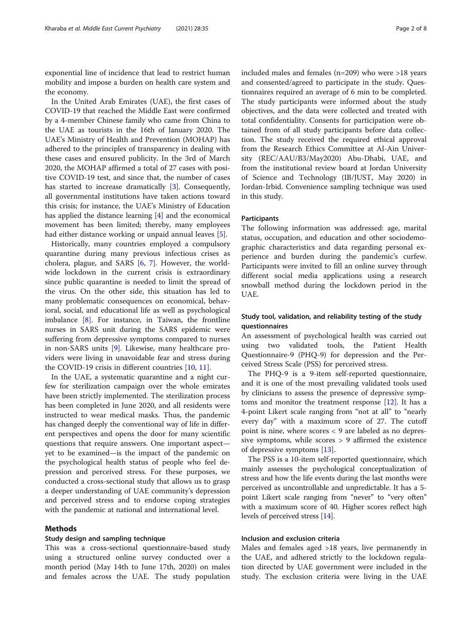exponential line of incidence that lead to restrict human mobility and impose a burden on health care system and the economy.

In the United Arab Emirates (UAE), the first cases of COVID-19 that reached the Middle East were confirmed by a 4-member Chinese family who came from China to the UAE as tourists in the 16th of January 2020. The UAE's Ministry of Health and Prevention (MOHAP) has adhered to the principles of transparency in dealing with these cases and ensured publicity. In the 3rd of March 2020, the MOHAP affirmed a total of 27 cases with positive COVID-19 test, and since that, the number of cases has started to increase dramatically [\[3](#page-7-0)]. Consequently, all governmental institutions have taken actions toward this crisis; for instance, the UAE's Ministry of Education has applied the distance learning [\[4](#page-7-0)] and the economical movement has been limited; thereby, many employees had either distance working or unpaid annual leaves [[5\]](#page-7-0).

Historically, many countries employed a compulsory quarantine during many previous infectious crises as cholera, plague, and SARS [[6,](#page-7-0) [7](#page-7-0)]. However, the worldwide lockdown in the current crisis is extraordinary since public quarantine is needed to limit the spread of the virus. On the other side, this situation has led to many problematic consequences on economical, behavioral, social, and educational life as well as psychological imbalance [\[8](#page-7-0)]. For instance, in Taiwan, the frontline nurses in SARS unit during the SARS epidemic were suffering from depressive symptoms compared to nurses in non-SARS units [[9\]](#page-7-0). Likewise, many healthcare providers were living in unavoidable fear and stress during the COVID-19 crisis in different countries [\[10](#page-7-0), [11](#page-7-0)].

In the UAE, a systematic quarantine and a night curfew for sterilization campaign over the whole emirates have been strictly implemented. The sterilization process has been completed in June 2020, and all residents were instructed to wear medical masks. Thus, the pandemic has changed deeply the conventional way of life in different perspectives and opens the door for many scientific questions that require answers. One important aspect yet to be examined—is the impact of the pandemic on the psychological health status of people who feel depression and perceived stress. For these purposes, we conducted a cross-sectional study that allows us to grasp a deeper understanding of UAE community's depression and perceived stress and to endorse coping strategies with the pandemic at national and international level.

### Methods

# Study design and sampling technique

This was a cross-sectional questionnaire-based study using a structured online survey conducted over a month period (May 14th to June 17th, 2020) on males and females across the UAE. The study population included males and females (n=209) who were >18 years and consented/agreed to participate in the study. Questionnaires required an average of 6 min to be completed. The study participants were informed about the study objectives, and the data were collected and treated with total confidentiality. Consents for participation were obtained from of all study participants before data collection. The study received the required ethical approval from the Research Ethics Committee at Al-Ain University (REC/AAU/B3/May2020) Abu-Dhabi, UAE, and from the institutional review board at Jordan University of Science and Technology (IB/JUST, May 2020) in Jordan-Irbid. Convenience sampling technique was used in this study.

# Participants

The following information was addressed: age, marital status, occupation, and education and other sociodemographic characteristics and data regarding personal experience and burden during the pandemic's curfew. Participants were invited to fill an online survey through different social media applications using a research snowball method during the lockdown period in the UAE.

# Study tool, validation, and reliability testing of the study questionnaires

An assessment of psychological health was carried out using two validated tools, the Patient Health Questionnaire-9 (PHQ-9) for depression and the Perceived Stress Scale (PSS) for perceived stress.

The PHQ-9 is a 9-item self-reported questionnaire, and it is one of the most prevailing validated tools used by clinicians to assess the presence of depressive symptoms and monitor the treatment response [[12\]](#page-7-0). It has a 4-point Likert scale ranging from "not at all" to "nearly every day" with a maximum score of 27. The cutoff point is nine, where scores < 9 are labeled as no depressive symptoms, while scores > 9 affirmed the existence of depressive symptoms [\[13](#page-7-0)].

The PSS is a 10-item self-reported questionnaire, which mainly assesses the psychological conceptualization of stress and how the life events during the last months were perceived as uncontrollable and unpredictable. It has a 5 point Likert scale ranging from "never" to "very often" with a maximum score of 40. Higher scores reflect high levels of perceived stress [[14](#page-7-0)].

# Inclusion and exclusion criteria

Males and females aged >18 years, live permanently in the UAE, and adhered strictly to the lockdown regulation directed by UAE government were included in the study. The exclusion criteria were living in the UAE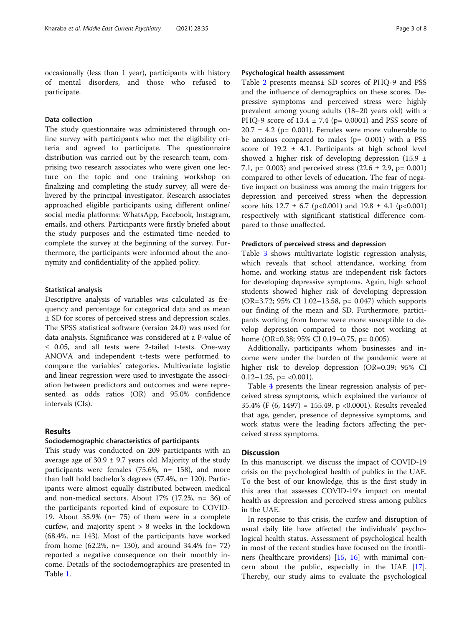occasionally (less than 1 year), participants with history of mental disorders, and those who refused to participate.

# Data collection

The study questionnaire was administered through online survey with participants who met the eligibility criteria and agreed to participate. The questionnaire distribution was carried out by the research team, comprising two research associates who were given one lecture on the topic and one training workshop on finalizing and completing the study survey; all were delivered by the principal investigator. Research associates approached eligible participants using different online/ social media platforms: WhatsApp, Facebook, Instagram, emails, and others. Participants were firstly briefed about the study purposes and the estimated time needed to complete the survey at the beginning of the survey. Furthermore, the participants were informed about the anonymity and confidentiality of the applied policy.

## Statistical analysis

Descriptive analysis of variables was calculated as frequency and percentage for categorical data and as mean ± SD for scores of perceived stress and depression scales. The SPSS statistical software (version 24.0) was used for data analysis. Significance was considered at a P-value of ≤ 0.05, and all tests were 2-tailed t-tests. One-way ANOVA and independent t-tests were performed to compare the variables' categories. Multivariate logistic and linear regression were used to investigate the association between predictors and outcomes and were represented as odds ratios (OR) and 95.0% confidence intervals (CIs).

# Results

#### Sociodemographic characteristics of participants

This study was conducted on 209 participants with an average age of  $30.9 \pm 9.7$  years old. Majority of the study participants were females (75.6%, n= 158), and more than half hold bachelor's degrees (57.4%, n= 120). Participants were almost equally distributed between medical and non-medical sectors. About 17% (17.2%, n= 36) of the participants reported kind of exposure to COVID-19. About 35.9% (n= 75) of them were in a complete curfew, and majority spent > 8 weeks in the lockdown (68.4%, n= 143). Most of the participants have worked from home  $(62.2\%, n= 130)$ , and around  $34.4\%$   $(n= 72)$ reported a negative consequence on their monthly income. Details of the sociodemographics are presented in Table [1.](#page-3-0)

# Psychological health assessment

Table [2](#page-4-0) presents means± SD scores of PHQ-9 and PSS and the influence of demographics on these scores. Depressive symptoms and perceived stress were highly prevalent among young adults (18–20 years old) with a PHQ-9 score of  $13.4 \pm 7.4$  (p= 0.0001) and PSS score of  $20.7 \pm 4.2$  (p= 0.001). Females were more vulnerable to be anxious compared to males  $(p= 0.001)$  with a PSS score of  $19.2 \pm 4.1$ . Participants at high school level showed a higher risk of developing depression (15.9 ± 7.1, p= 0.003) and perceived stress  $(22.6 \pm 2.9, p= 0.001)$ compared to other levels of education. The fear of negative impact on business was among the main triggers for depression and perceived stress when the depression score hits  $12.7 \pm 6.7$  (p<0.001) and  $19.8 \pm 4.1$  (p<0.001) respectively with significant statistical difference compared to those unaffected.

## Predictors of perceived stress and depression

Table [3](#page-5-0) shows multivariate logistic regression analysis, which reveals that school attendance, working from home, and working status are independent risk factors for developing depressive symptoms. Again, high school students showed higher risk of developing depression (OR=3.72; 95% CI 1.02–13.58, p= 0.047) which supports our finding of the mean and SD. Furthermore, participants working from home were more susceptible to develop depression compared to those not working at home (OR=0.38; 95% CI 0.19–0.75, p= 0.005).

Additionally, participants whom businesses and income were under the burden of the pandemic were at higher risk to develop depression (OR=0.39; 95% CI 0.12–1.25,  $p = \langle 0.001 \rangle$ .

Table [4](#page-5-0) presents the linear regression analysis of perceived stress symptoms, which explained the variance of 35.4% (F (6, 1497) = 155.49, p <0.0001). Results revealed that age, gender, presence of depressive symptoms, and work status were the leading factors affecting the perceived stress symptoms.

# **Discussion**

In this manuscript, we discuss the impact of COVID-19 crisis on the psychological health of publics in the UAE. To the best of our knowledge, this is the first study in this area that assesses COVID-19's impact on mental health as depression and perceived stress among publics in the UAE.

In response to this crisis, the curfew and disruption of usual daily life have affected the individuals' psychological health status. Assessment of psychological health in most of the recent studies have focused on the frontliners (healthcare providers) [\[15](#page-7-0), [16\]](#page-7-0) with minimal concern about the public, especially in the UAE [\[17](#page-7-0)]. Thereby, our study aims to evaluate the psychological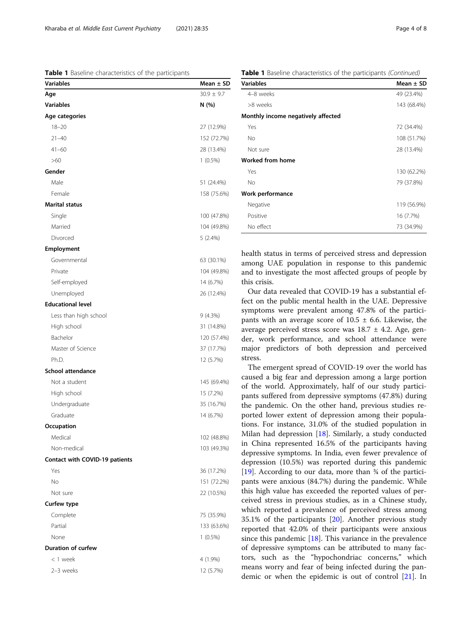<span id="page-3-0"></span>Table 1 Baseline characteristics of the participants

| Variables                      | Mean $\pm$ SD  |
|--------------------------------|----------------|
| Age                            | $30.9 \pm 9.7$ |
| <b>Variables</b>               | N (%)          |
| Age categories                 |                |
| $18 - 20$                      | 27 (12.9%)     |
| $21 - 40$                      | 152 (72.7%)    |
| $41 - 60$                      | 28 (13.4%)     |
| >60                            | $1(0.5\%)$     |
| Gender                         |                |
| Male                           | 51 (24.4%)     |
| Female                         | 158 (75.6%)    |
| <b>Marital status</b>          |                |
| Single                         | 100 (47.8%)    |
| Married                        | 104 (49.8%)    |
| Divorced                       | $5(2.4\%)$     |
| <b>Employment</b>              |                |
| Governmental                   | 63 (30.1%)     |
| Private                        | 104 (49.8%)    |
| Self-employed                  | 14 (6.7%)      |
| Unemployed                     | 26 (12.4%)     |
| <b>Educational level</b>       |                |
| Less than high school          | 9(4.3%)        |
| High school                    | 31 (14.8%)     |
| Bachelor                       | 120 (57.4%)    |
| Master of Science              | 37 (17.7%)     |
| Ph.D.                          | 12 (5.7%)      |
| <b>School attendance</b>       |                |
| Not a student                  | 145 (69.4%)    |
| High school                    | 15 (7.2%)      |
| Undergraduate                  | 35 (16.7%)     |
| Graduate                       | 14 (6.7%)      |
| Occupation                     |                |
| Medical                        | 102 (48.8%)    |
| Non-medical                    | 103 (49.3%)    |
| Contact with COVID-19 patients |                |
| Yes                            | 36 (17.2%)     |
| No                             | 151 (72.2%)    |
| Not sure                       | 22 (10.5%)     |
| Curfew type                    |                |
| Complete                       | 75 (35.9%)     |
| Partial                        | 133 (63.6%)    |
| None                           | $1(0.5\%)$     |
| Duration of curfew             |                |
| < 1 week                       | 4 (1.9%)       |
| 2-3 weeks                      | 12 (5.7%)      |
|                                |                |

**Table 1** Baseline characteristics of the participants (Continued)

| <b>Variables</b>                   | Mean $\pm$ SD |
|------------------------------------|---------------|
| 4-8 weeks                          | 49 (23.4%)    |
| >8 weeks                           | 143 (68.4%)   |
| Monthly income negatively affected |               |
| Yes                                | 72 (34.4%)    |
| No                                 | 108 (51.7%)   |
| Not sure                           | 28 (13.4%)    |
| <b>Worked from home</b>            |               |
| Yes                                | 130 (62.2%)   |
| No                                 | 79 (37.8%)    |
| Work performance                   |               |
| Negative                           | 119 (56.9%)   |
| Positive                           | 16 (7.7%)     |
| No effect                          | 73 (34.9%)    |

health status in terms of perceived stress and depression among UAE population in response to this pandemic and to investigate the most affected groups of people by this crisis.

Our data revealed that COVID-19 has a substantial effect on the public mental health in the UAE. Depressive symptoms were prevalent among 47.8% of the participants with an average score of  $10.5 \pm 6.6$ . Likewise, the average perceived stress score was  $18.7 \pm 4.2$ . Age, gender, work performance, and school attendance were major predictors of both depression and perceived stress.

The emergent spread of COVID-19 over the world has caused a big fear and depression among a large portion of the world. Approximately, half of our study participants suffered from depressive symptoms (47.8%) during the pandemic. On the other hand, previous studies reported lower extent of depression among their populations. For instance, 31.0% of the studied population in Milan had depression [[18](#page-7-0)]. Similarly, a study conducted in China represented 16.5% of the participants having depressive symptoms. In India, even fewer prevalence of depression (10.5%) was reported during this pandemic [[19\]](#page-7-0). According to our data, more than  $\frac{3}{4}$  of the participants were anxious (84.7%) during the pandemic. While this high value has exceeded the reported values of perceived stress in previous studies, as in a Chinese study, which reported a prevalence of perceived stress among 35.1% of the participants [[20\]](#page-7-0). Another previous study reported that 42.0% of their participants were anxious since this pandemic [\[18\]](#page-7-0). This variance in the prevalence of depressive symptoms can be attributed to many factors, such as the "hypochondriac concerns," which means worry and fear of being infected during the pandemic or when the epidemic is out of control [\[21](#page-7-0)]. In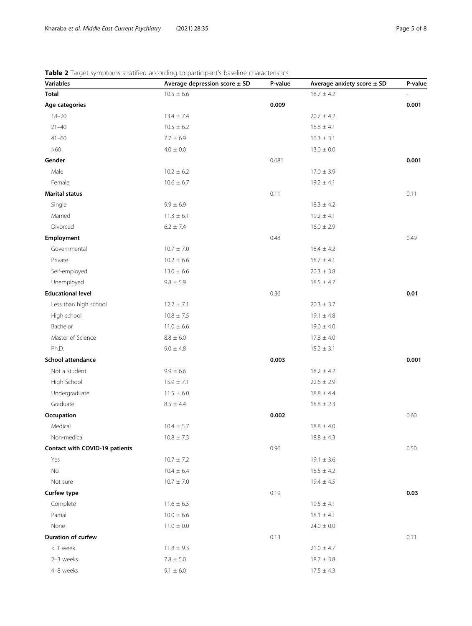# <span id="page-4-0"></span>Table 2 Target symptoms stratified according to participant's baseline characteristics

| <b>Variables</b>               | Average depression score $\pm$ SD | P-value | Average anxiety score $\pm$ SD | P-value |
|--------------------------------|-----------------------------------|---------|--------------------------------|---------|
| <b>Total</b>                   | $10.5 \pm 6.6$                    |         | $18.7 \pm 4.2$                 |         |
| Age categories                 |                                   | 0.009   |                                | 0.001   |
| $18 - 20$                      | $13.4 \pm 7.4$                    |         | $20.7 \pm 4.2$                 |         |
| $21 - 40$                      | $10.5 \pm 6.2$                    |         | $18.8 \pm 4.1$                 |         |
| $41 - 60$                      | $7.7 \pm 6.9$                     |         | $16.3 \pm 3.1$                 |         |
| $>60$                          | $4.0\,\pm\,0.0$                   |         | $13.0 \pm 0.0$                 |         |
| Gender                         |                                   | 0.681   |                                | 0.001   |
| Male                           | $10.2 \pm 6.2$                    |         | $17.0 \pm 3.9$                 |         |
| Female                         | $10.6 \pm 6.7$                    |         | $19.2 \pm 4.1$                 |         |
| <b>Marital status</b>          |                                   | 0.11    |                                | 0.11    |
| Single                         | $9.9 \pm 6.9$                     |         | $18.3 \pm 4.2$                 |         |
| Married                        | $11.3 \pm 6.1$                    |         | $19.2 \pm 4.1$                 |         |
| Divorced                       | $6.2 \pm 7.4$                     |         | $16.0 \pm 2.9$                 |         |
| Employment                     |                                   | 0.48    |                                | 0.49    |
| Governmental                   | $10.7 \pm 7.0$                    |         | $18.4 \pm 4.2$                 |         |
| Private                        | $10.2 \pm 6.6$                    |         | $18.7 \pm 4.1$                 |         |
| Self-employed                  | $13.0 \pm 6.6$                    |         | $20.3 \pm 3.8$                 |         |
| Unemployed                     | $9.8\pm5.9$                       |         | $18.5 \pm 4.7$                 |         |
| <b>Educational level</b>       |                                   | 0.36    |                                | 0.01    |
| Less than high school          | $12.2 \pm 7.1$                    |         | $20.3 \pm 3.7$                 |         |
| High school                    | $10.8 \pm 7.5$                    |         | $19.1 \pm 4.8$                 |         |
| Bachelor                       | $11.0 \pm 6.6$                    |         | $19.0 \pm 4.0$                 |         |
| Master of Science              | $8.8\pm6.0$                       |         | $17.8 \pm 4.0$                 |         |
| Ph.D.                          | $9.0 \pm 4.8$                     |         | $15.2 \pm 3.1$                 |         |
| School attendance              |                                   | 0.003   |                                | 0.001   |
| Not a student                  | $9.9\pm6.6$                       |         | $18.2 \pm 4.2$                 |         |
| High School                    | $15.9 \pm 7.1$                    |         | $22.6 \pm 2.9$                 |         |
| Undergraduate                  | $11.5 \pm 6.0$                    |         | $18.8 \pm 4.4$                 |         |
| Graduate                       | $8.5 \pm 4.4$                     |         | $18.8 \pm 2.3$                 |         |
| Occupation                     |                                   | 0.002   |                                | 0.60    |
| Medical                        | $10.4 \pm 5.7$                    |         | $18.8 \pm 4.0$                 |         |
| Non-medical                    | $10.8 \pm 7.3$                    |         | $18.8 \pm 4.3$                 |         |
| Contact with COVID-19 patients |                                   | 0.96    |                                | 0.50    |
| Yes                            | $10.7 \pm 7.2$                    |         | $19.1 \pm 3.6$                 |         |
| No                             | $10.4 \pm 6.4$                    |         | $18.5 \pm 4.2$                 |         |
| Not sure                       | $10.7 \pm 7.0$                    |         | $19.4 \pm 4.5$                 |         |
| Curfew type                    |                                   | 0.19    |                                | 0.03    |
| Complete                       | $11.6 \pm 6.5$                    |         | $19.5 \pm 4.1$                 |         |
| Partial                        | $10.0 \pm 6.6$                    |         | $18.1 \pm 4.1$                 |         |
| None                           | $11.0 \pm 0.0$                    |         | $24.0 \pm 0.0$                 |         |
| Duration of curfew             |                                   | 0.13    |                                | 0.11    |
| $< 1$ week                     | $11.8 \pm 9.3$                    |         | $21.0 \pm 4.7$                 |         |
| 2-3 weeks                      | $7.8 \pm 5.0$                     |         | $18.7 \pm 3.8$                 |         |
| 4-8 weeks                      | $9.1 \pm 6.0$                     |         | $17.5 \pm 4.3$                 |         |
|                                |                                   |         |                                |         |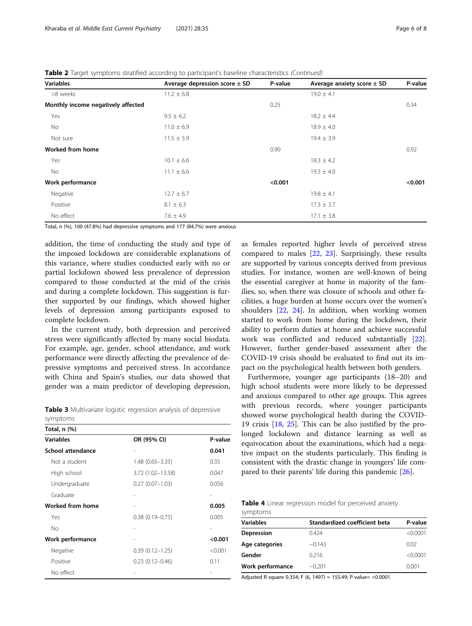<span id="page-5-0"></span>Table 2 Target symptoms stratified according to participant's baseline characteristics (Continued)

| <b>Variables</b>                   | Average depression score ± SD | P-value | Average anxiety score $\pm$ SD | P-value |
|------------------------------------|-------------------------------|---------|--------------------------------|---------|
| >8 weeks                           | $11.2 \pm 6.8$                |         | $19.0 \pm 4.1$                 |         |
| Monthly income negatively affected |                               | 0.25    |                                | 0.34    |
| Yes                                | $9.5 \pm 6.2$                 |         | $18.2 \pm 4.4$                 |         |
| No                                 | $11.0 \pm 6.9$                |         | $18.9 \pm 4.0$                 |         |
| Not sure                           | $11.5 \pm 5.9$                |         | $19.4 \pm 3.9$                 |         |
| <b>Worked from home</b>            |                               | 0.90    |                                | 0.92    |
| Yes                                | $10.1 \pm 6.6$                |         | $18.3 \pm 4.2$                 |         |
| No                                 | $11.1 \pm 6.6$                |         | $19.3 \pm 4.0$                 |         |
| Work performance                   |                               | < 0.001 |                                | < 0.001 |
| Negative                           | $12.7 \pm 6.7$                |         | $19.8 \pm 4.1$                 |         |
| Positive                           | $8.1 \pm 6.3$                 |         | $17.3 \pm 3.7$                 |         |
| No effect                          | $7.6 \pm 4.9$                 |         | $17.1 \pm 3.8$                 |         |

Total, n (%), 100 (47.8%) had depressive symptoms and 177 (84.7%) were anxious

addition, the time of conducting the study and type of the imposed lockdown are considerable explanations of this variance, where studies conducted early with no or partial lockdown showed less prevalence of depression compared to those conducted at the mid of the crisis and during a complete lockdown. This suggestion is further supported by our findings, which showed higher levels of depression among participants exposed to complete lockdown.

In the current study, both depression and perceived stress were significantly affected by many social biodata. For example, age, gender, school attendance, and work performance were directly affecting the prevalence of depressive symptoms and perceived stress. In accordance with China and Spain's studies, our data showed that gender was a main predictor of developing depression,

Table 3 Multivariate logistic regression analysis of depressive symptoms

| Total, n (%)      |                     |         |
|-------------------|---------------------|---------|
| <b>Variables</b>  | OR (95% CI)         | P-value |
| School attendance |                     | 0.041   |
| Not a student     | $1.48(0.65 - 3.35)$ | 0.35    |
| High school       | 3.72 (1.02-13.58)   | 0.047   |
| Undergraduate     | $0.27(0.07 - 1.03)$ | 0.056   |
| Graduate          |                     |         |
| Worked from home  |                     | 0.005   |
| Yes               | $0.38(0.19 - 0.75)$ | 0.005   |
| No                |                     |         |
| Work performance  |                     | < 0.001 |
| Negative          | $0.39(0.12 - 1.25)$ | < 0.001 |
| Positive          | $0.23(0.12 - 0.46)$ | 0.11    |
| No effect         |                     |         |

as females reported higher levels of perceived stress compared to males [\[22,](#page-7-0) [23](#page-7-0)]. Surprisingly, these results are supported by various concepts derived from previous studies. For instance, women are well-known of being the essential caregiver at home in majority of the families, so, when there was closure of schools and other facilities, a huge burden at home occurs over the women's shoulders [[22,](#page-7-0) [24\]](#page-7-0). In addition, when working women started to work from home during the lockdown, their ability to perform duties at home and achieve successful work was conflicted and reduced substantially [\[22](#page-7-0)]. However, further gender-based assessment after the COVID-19 crisis should be evaluated to find out its impact on the psychological health between both genders.

Furthermore, younger age participants (18–20) and high school students were more likely to be depressed and anxious compared to other age groups. This agrees with previous records, where younger participants showed worse psychological health during the COVID-19 crisis [\[18](#page-7-0), [25\]](#page-7-0). This can be also justified by the prolonged lockdown and distance learning as well as equivocation about the examinations, which had a negative impact on the students particularly. This finding is consistent with the drastic change in youngers' life compared to their parents' life during this pandemic [[26](#page-7-0)].

Table 4 Linear regression model for perceived anxiety symptoms

| <b>Variables</b> | Standardized coefficient beta | P-value  |
|------------------|-------------------------------|----------|
| Depression       | 0.424                         | < 0.0001 |
| Age categories   | $-0.143$                      | 0.02     |
| Gender           | 0.216                         | < 0.0001 |
| Work performance | $-0.201$                      | 0.001    |

Adjusted R square 0.354; F (6, 1497) = 155.49; P-value= <0.0001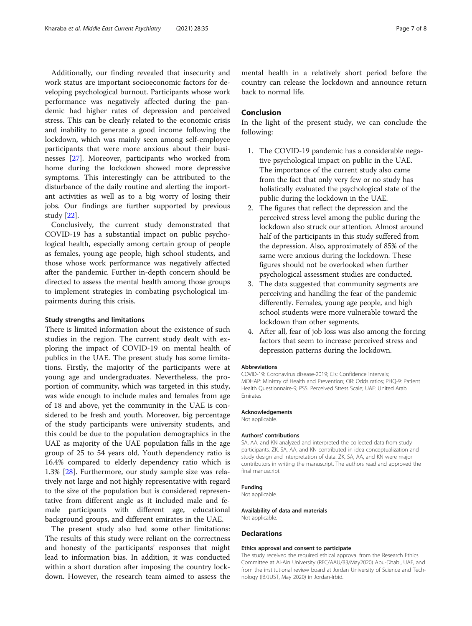Additionally, our finding revealed that insecurity and work status are important socioeconomic factors for developing psychological burnout. Participants whose work performance was negatively affected during the pandemic had higher rates of depression and perceived stress. This can be clearly related to the economic crisis and inability to generate a good income following the lockdown, which was mainly seen among self-employee participants that were more anxious about their businesses [[27\]](#page-7-0). Moreover, participants who worked from home during the lockdown showed more depressive symptoms. This interestingly can be attributed to the disturbance of the daily routine and alerting the important activities as well as to a big worry of losing their jobs. Our findings are further supported by previous study [[22\]](#page-7-0).

Conclusively, the current study demonstrated that COVID-19 has a substantial impact on public psychological health, especially among certain group of people as females, young age people, high school students, and those whose work performance was negatively affected after the pandemic. Further in-depth concern should be directed to assess the mental health among those groups to implement strategies in combating psychological impairments during this crisis.

# Study strengths and limitations

There is limited information about the existence of such studies in the region. The current study dealt with exploring the impact of COVID-19 on mental health of publics in the UAE. The present study has some limitations. Firstly, the majority of the participants were at young age and undergraduates. Nevertheless, the proportion of community, which was targeted in this study, was wide enough to include males and females from age of 18 and above, yet the community in the UAE is considered to be fresh and youth. Moreover, big percentage of the study participants were university students, and this could be due to the population demographics in the UAE as majority of the UAE population falls in the age group of 25 to 54 years old. Youth dependency ratio is 16.4% compared to elderly dependency ratio which is 1.3% [\[28](#page-7-0)]. Furthermore, our study sample size was relatively not large and not highly representative with regard to the size of the population but is considered representative from different angle as it included male and female participants with different age, educational background groups, and different emirates in the UAE.

The present study also had some other limitations: The results of this study were reliant on the correctness and honesty of the participants' responses that might lead to information bias. In addition, it was conducted within a short duration after imposing the country lockdown. However, the research team aimed to assess the

mental health in a relatively short period before the country can release the lockdown and announce return back to normal life.

# Conclusion

In the light of the present study, we can conclude the following:

- 1. The COVID-19 pandemic has a considerable negative psychological impact on public in the UAE. The importance of the current study also came from the fact that only very few or no study has holistically evaluated the psychological state of the public during the lockdown in the UAE.
- 2. The figures that reflect the depression and the perceived stress level among the public during the lockdown also struck our attention. Almost around half of the participants in this study suffered from the depression. Also, approximately of 85% of the same were anxious during the lockdown. These figures should not be overlooked when further psychological assessment studies are conducted.
- 3. The data suggested that community segments are perceiving and handling the fear of the pandemic differently. Females, young age people, and high school students were more vulnerable toward the lockdown than other segments.
- 4. After all, fear of job loss was also among the forcing factors that seem to increase perceived stress and depression patterns during the lockdown.

#### Abbreviations

COVID-19: Coronavirus disease-2019; CIs: Confidence intervals; MOHAP: Ministry of Health and Prevention; OR: Odds ratios; PHQ-9: Patient Health Questionnaire-9; PSS: Perceived Stress Scale; UAE: United Arab Emirates

#### Acknowledgements

Not applicable.

#### Authors' contributions

SA, AA, and KN analyzed and interpreted the collected data from study participants. ZK, SA, AA, and KN contributed in idea conceptualization and study design and interpretation of data. ZK, SA, AA, and KN were major contributors in writing the manuscript. The authors read and approved the final manuscript.

#### Funding

Not applicable.

Availability of data and materials Not applicable.

#### **Declarations**

#### Ethics approval and consent to participate

The study received the required ethical approval from the Research Ethics Committee at Al-Ain University (REC/AAU/B3/May2020) Abu-Dhabi, UAE, and from the institutional review board at Jordan University of Science and Technology (IB/JUST, May 2020) in Jordan-Irbid.